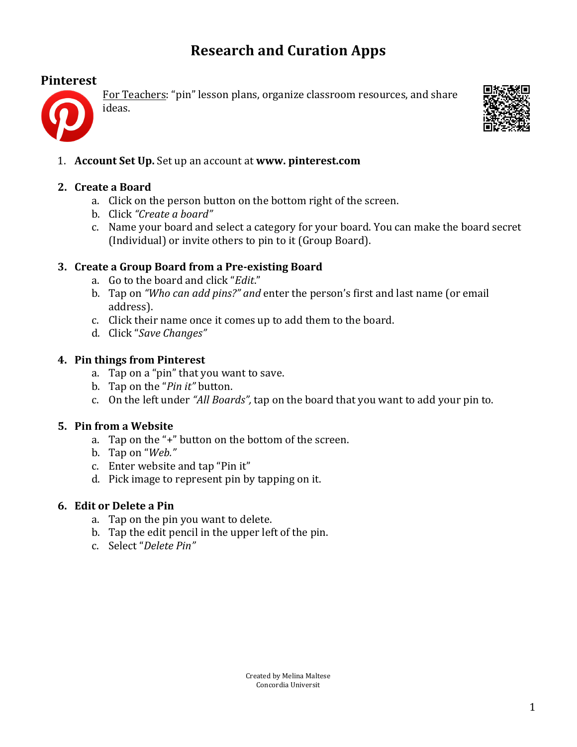# **Research and Curation Apps**

## **Pinterest**



For Teachers: "pin" lesson plans, organize classroom resources, and share





1. **Account Set Up.** Set up an account at **www. pinterest.com** 

## **2. Create a Board**

- a. Click on the person button on the bottom right of the screen.
- b. Click!*"Create'a'board"*
- c. Name your board and select a category for your board. You can make the board secret (Individual) or invite others to pin to it (Group Board).

#### **3. Create a Group Board from a Pre-existing Board**

- a. Go to the board and click "*Edit*."
- b. Tap on *"Who can add pins?" and* enter the person's first and last name (or email address).
- c. Click their name once it comes up to add them to the board.
- d. Click "Save Changes"

#### **4. Pin things from Pinterest**

- a. Tap on a "pin" that you want to save.
- b. Tap on the "*Pin it*" button.
- c. On the left under "*All Boards*", tap on the board that you want to add your pin to.

#### **5. Pin from a Website**

- a. Tap on the "+" button on the bottom of the screen.
- b. Tap!on!"*Web."*
- c. Enter website and tap "Pin it"
- d. Pick image to represent pin by tapping on it.

#### **6. Edit or Delete a Pin**

- a. Tap on the pin you want to delete.
- b. Tap the edit pencil in the upper left of the pin.
- c. Select!"*Delete Pin"*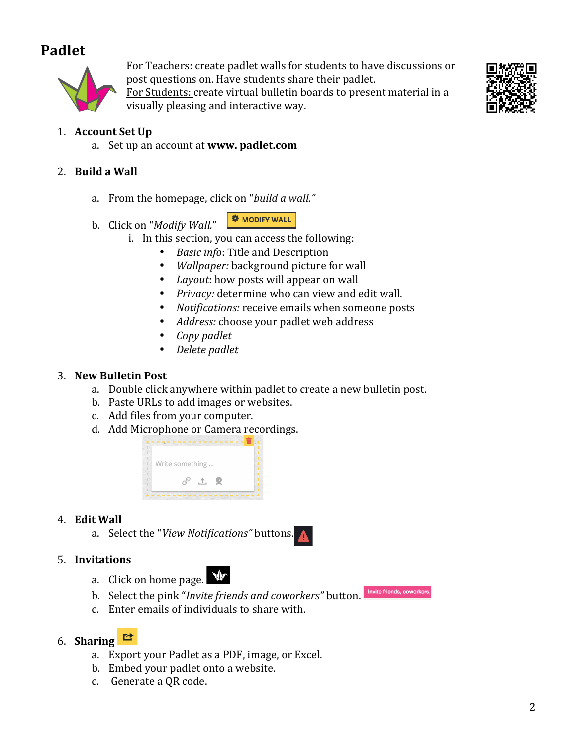# **Padlet**



For Teachers: create padlet walls for students to have discussions or post questions on. Have students share their padlet.

For Students: create virtual bulletin boards to present material in a visually pleasing and interactive way.



# 1. **Account Set Up**

a. Set up an account at **www. padlet.com** 

## 2. **Build a Wall**

- a. From the homepage, click on "*build a wall."*
- b. Click on "*Modify Wall."*



- i. In this section, you can access the following:
	- *Basic info:* Title and Description
	- *Wallpaper:* background picture for wall
	- *Layout*: how posts will appear on wall
	- Privacy: determine who can view and edit wall.
	- *Notifications:* receive emails when someone posts
	- Address: choose your padlet web address
	- *Copy'padlet*
	- *Delete'padlet*

### **3. New Bulletin Post**

- a. Double click anywhere within padlet to create a new bulletin post.
- b. Paste URLs to add images or websites.
- c. Add files from your computer.
- d. Add Microphone or Camera recordings.



## 4. **Edit Wall**

a. Select the "View Notifications" buttons.

#### 5. **Invitations**

- $\blacklozenge$ a. Click on home page.
- Invite friends, coworkers, b. Select the pink "*Invite friends and coworkers*" button.
- c. Enter emails of individuals to share with.

# 6. **Sharing**

- a. Export your Padlet as a PDF, image, or Excel.
- b. Embed your padlet onto a website.
- c. Generate a QR code.